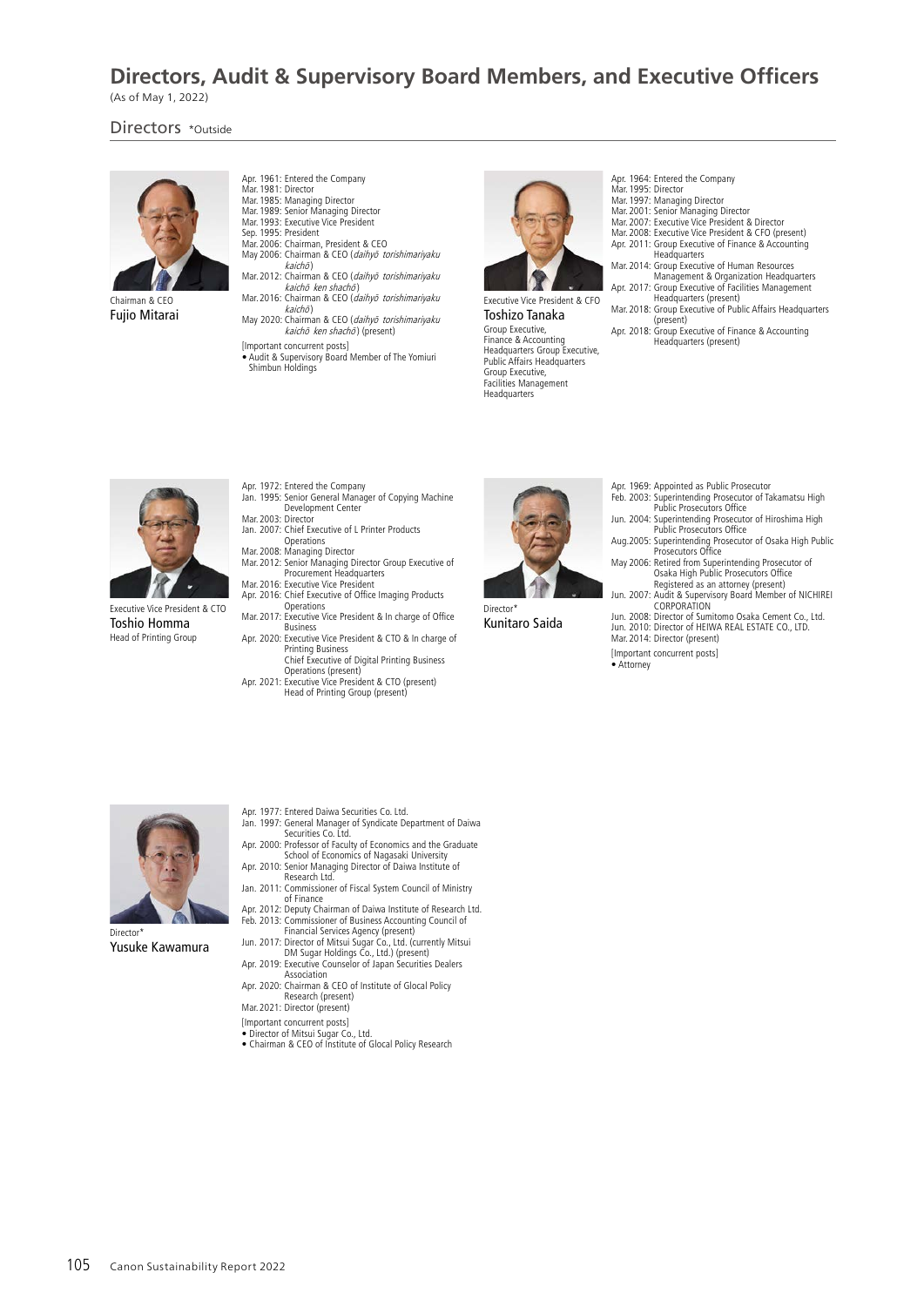# **Directors, Audit & Supervisory Board Members, and Executive Officers**

(As of May 1, 2022)

Directors \*Outside



Chairman & CEO Fujio Mitarai

- Apr. 1961: Entered the Company
- Mar.1981: Director Mar.1985: Managing Director
- Mar.1989: Senior Managing Director Mar.1993: Executive Vice President
- Sen. 1995: President
- Mar.2006: Chairman, President & CEO May 2006: Chairman & CEO (daihyō torishimariyaku  $kaich<sub>o</sub>$
- Mar. 2012: Chairman & CEO (daihyō torishimariyaku kaichō ken shachō)
- Mar. 2016: Chairman & CEO (daihyō torishimariyaku *kaichō*)<br>May 2020: Chairman & CEO (*daihyō torishimariyaku*
- kaichō ken shachō) (present)
- [Important concurrent posts] Audit & Supervisory Board Member of The Yomiuri Shimbun Holdings



Executive Vice President & CFO Toshizo Tanaka Group Executive, Finance & Accounting Headquarters Group Executive, Public Affairs Headquarters Group Executive, Facilities Management Headquarters

- Apr. 1964: Entered the Company
- Mar.1995: Director Mar.1997: Managing Director
- 
- Mar.2001: Senior Managing Director Mar.2007: Executive Vice President & Director Mar.2008: Executive Vice President & CFO (present)
- Apr. 2011: Group Executive of Finance & Accounting
- Headquarters Mar.2014: Group Executive of Human Resources
- Management & Organization Headquarters Apr. 2017: Group Executive of Facilities Management
- Headquarters (present) Mar.2018: Group Executive of Public Affairs Headquarters
- $(nr<sub>ex</sub>ent)$
- Apr. 2018: Group Executive of Finance & Accounting Headquarters (present)



Executive Vice President & CTO Toshio Homma Head of Printing Group

- 
- Apr. 1972: Entered the Company Jan. 1995: Senior General Manager of Copying Machine Development Center Mar.2003: Director
- 
- Jan. 2007: Chief Executive of L Printer Products Operations Mar.2008: Managing Director Mar.2012: Senior Managing Director Group Executive of Procurement Headquarters Mar.2016: Executive Vice President
- Apr. 2016: Chief Executive of Office Imaging Products Operations
- Mar.2017: Executive Vice President & In charge of Office Business
- Apr. 2020: Executive Vice President & CTO & In charge of Printing Business
- Chief Executive of Digital Printing Business Operations (present) Apr. 2021: Executive Vice President & CTO (present)
- Head of Printing Group (present)



Director\* Kunitaro Saida

- Apr. 1969: Appointed as Public Prosecutor
- 
- Feb. 2003: Superintending Prosecutor of Takamatsu High Public Prosecutors Office Jun. 2004: Superintending Prosecutor of Hiroshima High
- Public Prosecutors Office Aug.2005: Superintending Prosecutor of Osaka High Public Prosecutors Office May 2006: Retired from Superintending Prosecutor of
- Osaka High Public Prosecutors Office Registered as an attorney (present)
- Jun. 2007: Audit & Supervisory Board Member of NICHIREI CORPORATION
- Jun. 2008: Director of Sumitomo Osaka Cement Co., Ltd. Jun. 2010: Director of HEIWA REAL ESTATE CO., LTD.
- Mar.2014: Director (present)
- [Important concurrent posts]
- Attorney



Yusuke Kawamura

- Apr. 1977: Entered Daiwa Securities Co. Ltd.
- Jan. 1997: General Manager of Syndicate Department of Daiwa Securities Co. Ltd.
- Apr. 2000: Professor of Faculty of Economics and the Graduate
- School of Economics of Nagasaki University Apr. 2010: Senior Managing Director of Daiwa Institute of Research Ltd.
- Jan. 2011: Commissioner of Fiscal System Council of Ministry of Finance
- Apr. 2012: Deputy Chairman of Daiwa Institute of Research Ltd.
- Feb. 2013: Commissioner of Business Accounting Council of<br>Financial Services Agency (present)<br>Jun. 2017: Director of Mitsui Sugar Co., Ltd. (currently Mitsui<br>DM Sugar Holdings Co., Ltd.) (present)<br>Apr. 2019: Executive Coun
- Association
- Apr. 2020: Chairman & CEO of Institute of Glocal Policy Research (present) Mar.2021: Director (present)
- 
- [Important concurrent posts]
- Director of Mitsui Sugar Co., Ltd. Chairman & CEO of Institute of Glocal Policy Research